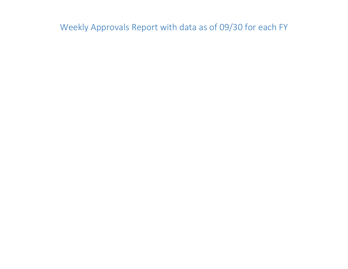Weekly Approvals Report with data as of 09/30 for each FY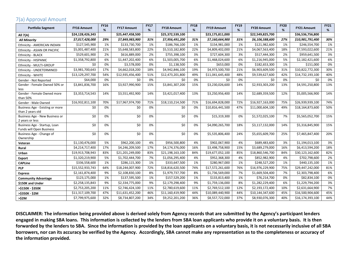# 7(a) Approval Amount

| <b>Portfolio Segment</b>                                 | <b>FY16 Amount</b> | <b>FY16</b><br>% | <b>FY17 Amount</b> | <b>FY17</b><br>% | <b>FY18 Amount</b> | <b>FY18</b><br>% | <b>FY19 Amount</b> | <b>FY19</b><br>% | <b>FY20 Amount</b> | <b>FY20</b><br>% | <b>FY21 Amount</b> | <b>FY21</b><br>% |
|----------------------------------------------------------|--------------------|------------------|--------------------|------------------|--------------------|------------------|--------------------|------------------|--------------------|------------------|--------------------|------------------|
| All 7(A)                                                 | \$24,128,426,343   |                  | \$25,447,458,500   |                  | \$25,372,539,100   |                  | \$23,175,811,000   |                  | \$22,549,825,700   |                  | \$36,536,756,800   |                  |
| <b>All Minority</b>                                      | \$7,017,428,000    | 29%              | \$7,849,983,900    | 31%              | \$7,956,491,200    | 31%              | \$7,160,664,900    | 31%              | \$6,106,588,600    | 27%              | \$10,981,791,400   | 30%              |
| Ethnicity - AMERICAN INDIAN                              | \$127,545,900      | 1%               | \$133,730,700      | 1%               | \$186,766,100      | 1%               | \$154,981,000      | 1%               | \$121,982,600      | 1%               | \$246,554,700      | 1%               |
| Ethnicity - ASIAN OR PACIFIC                             | \$5,001,487,400    | 21%              | \$5,648,583,800    | 22%              | \$5,510,182,800    | 22%              | \$4,809,402,000    | 21%              | \$4,067,563,400    | 18%              | \$7,593,022,600    | 21%              |
| Ethnicity - BLACK                                        | \$529,601,900      | 2%               | \$616,889,000      | 2%               | \$755,398,100      | 3%               | \$727,604,300      | 3%               | \$517,444,300      | 2%               | \$959,641,500      | 3%               |
| Ethnicity - HISPANIC                                     | \$1,358,792,800    | 6%               | \$1,447,202,400    | 6%               | \$1,503,005,700    | 6%               | \$1,468,024,600    | 6%               | \$1,216,945,000    | 5%               | \$2,182,421,600    | 6%               |
| Ethnicity - MULTI-GROUP                                  | \$0                | 0%               | \$3,578,000        | 0%               | \$1,138,500        | 0%               | \$653,000          | 0%               | \$182,653,300      | 1%               | \$151,000          | 0%               |
| Ethnicity - UNDETERMINED                                 | \$3,981,700,643    | 17%              | \$4,662,018,200    | 18%              | \$4,942,846,100    | 19%              | \$4,973,500,700    | 21%              | \$6,903,609,500    | 31%              | \$10,822,772,300   | 30%              |
| Ethnicity - WHITE                                        | \$13,129,297,700   | 54%              | \$12,935,456,400   | 51%              | \$12,473,201,800   | 49%              | \$11,041,645,400   | 48%              | \$9,539,627,600    | 42%              | \$14,732,193,100   | 40%              |
| Gender - Not Reported                                    | \$64,000           | 0%               | \$0                | 0%               | \$0                | 0%               | \$0                | 0%               | \$0                | 0%               | \$0                | 0%               |
| Gender - Female Owned 50% or<br>less                     | \$3,841,836,700    | 16%              | \$3,927,990,900    | 15%              | \$3,841,307,200    | 15%              | \$3,230,026,600    | 14%              | \$2,933,303,200    | 13%              | \$4,591,250,800    | 13%              |
| Gender - Female Owned more<br>than 50%                   | \$3,353,714,543    | 14%              | \$3,551,492,900    | 14%              | \$3,421,017,400    | 13%              | \$3,250,956,400    | 14%              | \$2,689,359,500    | 12%              | \$5,005,566,900    | 14%              |
| Gender - Male Owned                                      | \$16,932,811,100   | 70%              | \$17,967,974,700   | 71%              | \$18,110,214,500   | 71%              | \$16,694,828,000   | 72%              | \$16,927,163,000   | 75%              | \$26,939,939,100   | 74%              |
| Business Age - Existing or more<br>than 2 years old      | \$0                | 0%               | \$0                | 0%               | \$0                | 0%               | \$10,816,441,500   | 47%              | \$11,000,604,100   | 49%              | \$18,164,873,600   | 50%              |
| Business Age - New Business or<br>2 years or less        | \$0                | 0%               | \$0                | 0%               | \$0                | 0%               | \$15,319,300       | 0%               | \$1,572,025,100    | 7%               | \$5,565,052,700    | 15%              |
| Business Age - Startup, Loan<br>Funds will Open Business | \$0                | 0%               | \$0                | 0%               | \$0                | 0%               | \$4,090,265,700    | 18%              | \$3,117,132,000    | 14%              | \$5,316,845,900    | 15%              |
| Business Age - Change of<br>Ownership                    | \$0                | 0%               | \$0                | 0%               | \$0                | 0%               | \$5,535,806,400    | 24%              | \$5,655,609,700    | 25%              | \$7,465,847,400    | 20%              |
| Veteran                                                  | \$1,130,476,000    | 5%               | \$962,200,100      | 4%               | \$956,500,800      | 4%               | \$902,067,900      | 4%               | \$689,483,600      | 3%               | \$1,194,013,100    | 3%               |
| Rural                                                    | \$4,214,717,400    | 17%              | \$4,246,209,500    | 17%              | \$4,174,376,000    | 16%              | \$3,498,758,900    | 15%              | \$3,689,279,000    | 16%              | \$6,413,594,200    | 18%              |
| Urban                                                    | \$19,913,708,943   | 83%              | \$21,201,249,000   | 83%              | \$21,198,163,100   | 84%              | \$19,677,052,100   | 85%              | \$18,860,546,700   | 84%              | \$30,123,162,600   | 82%              |
| <b>Export</b>                                            | \$1,320,219,900    | 5%               | \$1,702,444,700    | 7%               | \$1,056,295,400    | 4%               | \$952,368,300      | 4%               | \$852,982,900      | 4%               | \$702,798,600      | 2%               |
| <b>CAPLine</b>                                           | \$336,558,600      | 1%               | \$286,115,300      | 1%               | \$333,647,500      | 1%               | \$280,967,000      | 1%               | \$248,527,200      | 1%               | \$440,135,100      | 1%               |
| <b>PLP</b>                                               | \$15,552,933,743   | 64%              | \$18,244,007,900   | 72%              | \$18,816,620,500   | 74%              | \$17,572,261,600   | 76%              | \$16,976,229,900   | 75%              | \$29,447,242,000   | 81%              |
| <b>Express</b>                                           | \$2,161,874,400    | 9%               | \$2,108,830,100    | 8%               | \$1,979,737,700    | 8%               | \$1,736,569,000    | 7%               | \$1,669,504,400    | 7%               | \$2,303,798,400    | 6%               |
| <b>Community Advantage</b>                               | \$123,175,000      | 1%               | \$137,595,500      | 1%               | \$157,529,200      | 1%               | \$133,813,400      | 1%               | \$76,214,700       | 0%               | \$82,834,100       | 0%               |
| \$150K and Under                                         | \$2,258,135,843    | 9%               | \$2,334,775,000    | 9%               | \$2,179,298,400    | 9%               | \$1,759,136,000    | 8%               | \$1,282,229,400    | 6%               | \$1,229,794,200    | 3%               |
| >\$150K - \$350K                                         | \$2,753,205,200    | 11%              | \$2,746,424,100    | 11%              | \$2,780,619,600    | 11%              | \$2,769,512,100    | 12%              | \$2,193,172,400    | 10%              | \$2,631,664,900    | 7%               |
| >\$350K - \$2M                                           | \$11,317,109,700   | 47%              | \$11,631,452,200   | 46%              | \$11,160,419,900   | 44%              | \$10,089,440,900   | 44%              | \$10,144,347,600   | 45%              | \$16,500,904,600   | 45%              |
| >52M                                                     | \$7,799,975,600    | 32%              | \$8,734,807,200    | 34%              | \$9,252,201,200    | 36%              | \$8,557,722,000    | 37%              | \$8,930,076,300    | 40%              | \$16,174,393,100   | 44%              |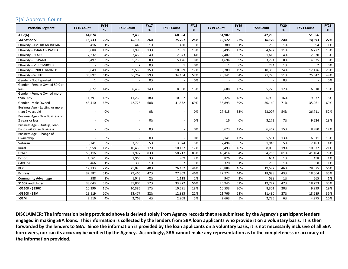# 7(a) Approval Count

| <b>Portfolio Segment</b>                           | <b>FY16 Count</b> | <b>FY16</b><br>% | <b>FY17 Count</b> | <b>FY17</b><br>% | <b>FY18 Count</b> | <b>FY18</b><br>% | <b>FY19 Count</b> | <b>FY19</b><br>% | <b>FY20 Count</b> | <b>FY20</b><br>% | FY21 Count     | <b>FY21</b><br>% |
|----------------------------------------------------|-------------------|------------------|-------------------|------------------|-------------------|------------------|-------------------|------------------|-------------------|------------------|----------------|------------------|
| <b>All 7(A)</b>                                    | 64,074            |                  | 62,430            |                  | 60,354            |                  | 51,907            |                  | 42,298            |                  | 51,856         |                  |
| <b>All Minority</b>                                | 16,333            | 25%              | 16,133            | 26%              | 15,791            | 26%              | 13,977            | 27%              | 10,173            | 24%              | 14,033         | 27%              |
| Ethnicity - AMERICAN INDIAN                        | 416               | 1%               | 440               | 1%               | 430               | 1%               | 380               | 1%               | 288               | 1%               | 394            | 1%               |
| Ethnicity - ASIAN OR PACIFIC                       | 8,088             | 13%              | 7,995             | 13%              | 7,561             | 13%              | 6,495             | 13%              | 4,692             | 11%              | 6,772          | 13%              |
| Ethnicity - BLACK                                  | 2,332             | 4%               | 2,460             | 4%               | 2,673             | 4%               | 2,407             | 5%               | 1,615             | 4%               | 2,530          | 5%               |
| <b>Ethnicity - HISPANIC</b>                        | 5,497             | 9%               | 5,236             | 8%               | 5,126             | 8%               | 4,694             | 9%               | 3,294             | 8%               | 4,335          | 8%               |
| Ethnicity - MULTI-GROUP                            |                   | 0%               | $\overline{2}$    | 0%               | $\mathbf{1}$      | 0%               | $\mathbf{1}$      | 0%               | 284               | 1%               | $\overline{2}$ | 0%               |
| Ethnicity - UNDETERMINED                           | 8,849             | 14%              | 9,535             | 15%              | 10,099            | 17%              | 9,789             | 19%              | 10,355            | 24%              | 12,176         | 23%              |
| Ethnicity - WHITE                                  | 38,892            | 61%              | 36,762            | 59%              | 34,464            | 57%              | 28,141            | 54%              | 21,770            | 51%              | 25,647         | 49%              |
| Gender - Not Reported                              | $\mathbf{1}$      | 0%               |                   | 0%               |                   | 0%               |                   | 0%               |                   | 0%               |                | 0%               |
| Gender - Female Owned 50% or                       |                   |                  |                   |                  |                   |                  |                   |                  |                   |                  |                |                  |
| less                                               | 8,872             | 14%              | 8,439             | 14%              | 8,060             | 13%              | 6,688             | 13%              | 5,220             | 12%              | 6,818          | 13%              |
| Gender - Female Owned more                         |                   |                  |                   |                  |                   |                  |                   |                  |                   |                  |                |                  |
| than 50%                                           | 11,791            | 18%              | 11,266            | 18%              | 10,662            | 18%              | 9,326             | 18%              | 6,938             | 16%              | 9,077          | 18%              |
| Gender - Male Owned                                | 43,410            | 68%              | 42,725            | 68%              | 41,632            | 69%              | 35,893            | 69%              | 30,140            | 71%              | 35,961         | 69%              |
| Business Age - Existing or more                    |                   |                  |                   |                  |                   | 0%               |                   |                  |                   |                  |                |                  |
| than 2 years old<br>Business Age - New Business or |                   | 0%               |                   | 0%               |                   |                  | 27,415            | 53%              | 23,007            | 54%              | 26,711         | 52%              |
| 2 years or less                                    |                   | 0%               |                   | 0%               |                   | 0%               | 16                | 0%               | 3,172             | 7%               | 9,524          | 18%              |
| Business Age - Startup, Loan                       |                   |                  |                   |                  |                   |                  |                   |                  |                   |                  |                |                  |
| <b>Funds will Open Business</b>                    |                   | 0%               |                   | 0%               |                   | 0%               | 8,623             | 17%              | 6,462             | 15%              | 8,980          | 17%              |
| Business Age - Change of                           |                   |                  |                   |                  |                   |                  |                   |                  |                   |                  |                |                  |
| Ownership                                          |                   | 0%               |                   | 0%               |                   | 0%               | 6,141             | 12%              | 5,551             | 13%              | 6,611          | 13%              |
| Veteran                                            | 3,241             | 5%               | 3,270             | 5%               | 3,074             | 5%               | 2,494             | 5%               | 1,943             | 5%               | 2,183          | 4%               |
| Rural                                              | 10,958            | 17%              | 10,458            | 17%              | 10,137            | 17%              | 8,493             | 16%              | 8,035             | 19%              | 10,672         | 21%              |
| Urban                                              | 53,116            | 83%              | 51,972            | 83%              | 50,217            | 83%              | 43,414            | 84%              | 34,263            | 81%              | 41,184         | 79%              |
| Export                                             | 1,561             | 2%               | 1,966             | 3%               | 909               | 2%               | 826               | 2%               | 634               | 1%               | 458            | 1%               |
| <b>CAPLine</b>                                     | 466               | 1%               | 386               | 1%               | 362               | 1%               | 320               | 1%               | 256               | 1%               | 358            | 1%               |
| <b>PLP</b>                                         | 17,233            | 27%              | 25,023            | 40%              | 26,482            | 44%              | 23,884            | 46%              | 19,592            | 46%              | 28,875         | 56%              |
| <b>Express</b>                                     | 32,582            | 51%              | 29,466            | 47%              | 27,809            | 46%              | 22,774            | 44%              | 18,098            | 43%              | 18,064         | 35%              |
| <b>Community Advantage</b>                         | 988               | 2%               | 1,043             | 2%               | 1,118             | 2%               | 947               | 2%               | 538               | 1%               | 565            | 1%               |
| \$150K and Under                                   | 38,043            | 59%              | 35,805            | 57%              | 33,972            | 56%              | 26,945            | 52%              | 19,772            | 47%              | 18,293         | 35%              |
| >\$150K - \$350K                                   | 10,396            | 16%              | 10,385            | 17%              | 10,591            | 18%              | 10,533            | 20%              | 8,301             | 20%              | 9,999          | 19%              |
| >\$350K - \$2M                                     | 13,119            | 20%              | 13,477            | 22%              | 12,883            | 21%              | 11,766            | 23%              | 11,490            | 27%              | 18,589         | 36%              |
| >52M                                               | 2,516             | 4%               | 2,763             | 4%               | 2,908             | 5%               | 2,663             | 5%               | 2,735             | 6%               | 4,975          | 10%              |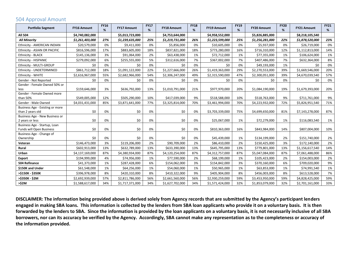### 504 Approval Amount

| <b>Portfolio Segment</b>                                 | <b>FY16 Amount</b> | <b>FY16</b><br>% | <b>FY17 Amount</b> | <b>FY17</b><br>% | <b>FY18 Amount</b> | <b>FY18</b><br>% | <b>FY19 Amount</b> | <b>FY19</b><br>% | <b>FY20 Amount</b> | <b>FY20</b><br>% | <b>FY21 Amount</b> | <b>FY21</b><br>% |
|----------------------------------------------------------|--------------------|------------------|--------------------|------------------|--------------------|------------------|--------------------|------------------|--------------------|------------------|--------------------|------------------|
| All 504                                                  | \$4,740,082,000    |                  | \$5,013,723,000    |                  | \$4,753,644,000    |                  | \$4,958,552,000    |                  | \$5,826,885,000    |                  | \$8,218,105,540    |                  |
| <b>All Minority</b>                                      | \$1,261,403,000    | 27%              | \$1,239,635,000    | 25%              | \$1,219,731,000    | 26%              | \$1,223,599,000    | 25%              | \$1,256,281,000    | 22%              | \$1,878,520,000    | 23%              |
| Ethnicity - AMERICAN INDIAN                              | \$20,579,000       | 0%               | \$9,411,000        | 0%               | \$5,856,000        | 0%               | \$10,605,000       | 0%               | \$5,937,000        | 0%               | \$26,719,000       | 0%               |
| Ethnicity - ASIAN OR PACIFIC                             | \$816,596,000      | 17%              | \$883,605,000      | 18%              | \$837,821,000      | 18%              | \$773,280,000      | 16%              | \$716,310,000      | 12%              | \$1,112,813,000    | 14%              |
| Ethnicity - BLACK                                        | \$145,136,000      | 3%               | \$91,064,000       | 2%               | \$63,438,000       | 1%               | \$72,712,000       | 1%               | \$77,355,000       | 1%               | \$106,624,000      | 1%               |
| <b>Ethnicity - HISPANIC</b>                              | \$279,092,000      | 6%               | \$255,555,000      | 5%               | \$312,616,000      | 7%               | \$367,002,000      | 7%               | \$407,486,000      | 7%               | \$632,364,000      | 8%               |
| Ethnicity - MULTI-GROUP                                  | \$0                | 0%               | \$0                | 0%               | \$0                | 0%               | \$0                | 0%               | \$49,193,000       | 1%               | \$0                | 0%               |
| Ethnicity - UNDETERMINED                                 | \$861,712,000      | 18%              | \$1,091,122,000    | 22%              | \$1,227,666,000    | 26%              | \$1,419,363,000    | 29%              | \$2,270,553,000    | 39%              | \$1,669,546,000    | 20%              |
| Ethnicity - WHITE                                        | \$2,616,967,000    | 55%              | \$2,682,966,000    | 54%              | \$2,306,247,000    | 49%              | \$2,315,590,000    | 47%              | \$2,300,051,000    | 39%              | \$4,670,039,540    | 57%              |
| Gender - Not Reported                                    | \$0                | 0%               | \$0                | 0%               | \$0                | 0%               | \$0                | 0%               | \$0                | 0%               | \$0                | 0%               |
| Gender - Female Owned 50% or<br>less                     | \$159,646,000      | 3%               | \$636,792,000      | 13%              | \$1,010,791,000    | 21%              | \$977,970,000      | 20%              | \$1,084,190,000    | 19%              | \$1,679,393,000    | 20%              |
| Gender - Female Owned more                               |                    |                  |                    |                  |                    |                  |                    |                  |                    |                  |                    |                  |
| than 50%                                                 | \$549,005,000      | 12%              | \$505,290,000      | 10%              | \$417,039,000      | 9%               | \$518,588,000      | 10%              | \$518,763,000      | 9%               | \$711,761,000      | 9%               |
| Gender - Male Owned                                      | \$4,031,431,000    | 85%              | \$3,871,641,000    | 77%              | \$3,325,814,000    | 70%              | \$3,461,994,000    | 70%              | \$4,223,932,000    | 72%              | \$5,826,951,540    | 71%              |
| Business Age - Existing or more                          |                    |                  |                    |                  |                    |                  |                    |                  |                    |                  |                    |                  |
| than 2 years old                                         | \$0                | 0%               | \$0                | 0%               | \$0                | 0%               | \$3,703,339,000    | 75%              | \$4,699,650,000    | 81%              | \$7,143,278,000    | 87%              |
| Business Age - New Business or                           |                    |                  |                    |                  |                    |                  |                    |                  |                    |                  |                    |                  |
| 2 years or less                                          | \$0                | 0%               | \$0                | 0%               | \$0                | 0%               | \$25,067,000       | 1%               | \$72,279,000       | 1%               | \$116,083,540      | 1%               |
| Business Age - Startup, Loan<br>Funds will Open Business | \$0                | 0%               | \$0                | 0%               | \$0                | 0%               | \$810,363,000      | 16%              | \$843,984,000      | 14%              | \$807,004,000      | 10%              |
| Business Age - Change of                                 |                    |                  |                    |                  |                    |                  |                    |                  |                    |                  |                    |                  |
| Ownership                                                | \$0                | 0%               | \$0                | 0%               | \$0                | 0%               | \$45,439,000       | 1%               | \$134,199,000      | 2%               | \$151,740,000      | 2%               |
| Veteran                                                  | \$146,473,000      | 3%               | \$119,206,000      | 2%               | \$90,709,000       | 2%               | \$86,410,000       | 2%               | \$150,425,000      | 3%               | \$172,140,000      | 2%               |
| Rural                                                    | \$602,913,000      | 13%              | \$632,789,000      | 13%              | \$633,390,000      | 13%              | \$645,795,000      | 13%              | \$779,801,000      | 13%              | \$1,156,617,540    | 14%              |
| Urban                                                    | \$4,137,169,000    | 87%              | \$4,380,934,000    | 87%              | \$4,120,254,000    | 87%              | \$4,312,757,000    | 87%              | \$5,047,084,000    | 87%              | \$7,061,488,000    | 86%              |
| <b>Export</b>                                            | \$194,999,000      | 4%               | \$74,956,000       | 1%               | \$77,590,000       | 2%               | \$68,199,000       | 1%               | \$105,423,000      | 2%               | \$154,003,000      | 2%               |
| <b>504 Refinance</b>                                     | \$41,373,000       | 1%               | \$287,428,000      | 6%               | \$154,062,000      | 3%               | \$154,842,000      | 3%               | \$370,160,000      | 6%               | \$709,020,000      | 9%               |
| \$150K and Under                                         | \$61,548,000       | 1%               | \$64,256,000       | 1%               | \$54,060,000       | 1%               | \$50,965,000       | 1%               | \$63,853,000       | 1%               | \$74,991,540       | 1%               |
| >\$150K - \$350K                                         | \$396,978,000      | 8%               | \$420,310,000      | 8%               | \$410,322,000      | 9%               | \$405,904,000      | 8%               | \$456,003,000      | 8%               | \$613,528,000      | 7%               |
| >\$350K - \$2M                                           | \$2,692,939,000    | 57%              | \$2,811,786,000    | 56%              | \$2,661,560,000    | 56%              | \$2,930,259,000    | 59%              | \$3,453,950,000    | 59%              | \$4,828,425,000    | 59%              |
| >52M                                                     | \$1,588,617,000    | 34%              | \$1,717,371,000    | 34%              | \$1,627,702,000    | 34%              | \$1,571,424,000    | 32%              | \$1,853,079,000    | 32%              | \$2,701,161,000    | 33%              |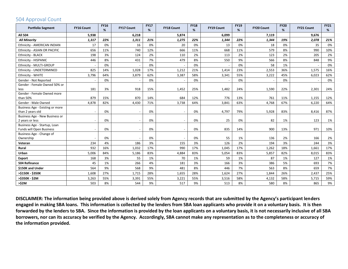### 504 Approval Count

| <b>Portfolio Segment</b>                            | <b>FY16 Count</b>        | <b>FY16</b><br>% | <b>FY17 Count</b> | <b>FY17</b><br>% | <b>FY18 Count</b> | <b>FY18</b><br>% | <b>FY19 Count</b> | <b>FY19</b><br>% | <b>FY20 Count</b> | <b>FY20</b><br>% | <b>FY21 Count</b> | <b>FY21</b><br>% |
|-----------------------------------------------------|--------------------------|------------------|-------------------|------------------|-------------------|------------------|-------------------|------------------|-------------------|------------------|-------------------|------------------|
| <b>All 504</b>                                      | 5,938                    |                  | 6,218             |                  | 5,874             |                  | 6,099             |                  | 7,119             |                  | 9,676             |                  |
| <b>All Minority</b>                                 | 1,317                    | 22%              | 1,311             | 21%              | 1,275             | 22%              | 1,344             | 22%              | 1,344             | 19%              | 2,078             | 21%              |
| Ethnicity - AMERICAN INDIAN                         | 17                       | 0%               | 16                | 0%               | 20                | 0%               | 13                | 0%               | 18                | 0%               | 35                | 0%               |
| Ethnicity - ASIAN OR PACIFIC                        | 656                      | 11%              | 740               | 12%              | 666               | 11%              | 668               | 11%              | 579               | 8%               | 990               | 10%              |
| Ethnicity - BLACK                                   | 198                      | 3%               | 124               | 2%               | 110               | 2%               | 113               | 2%               | 123               | 2%               | 205               | 2%               |
| Ethnicity - HISPANIC                                | 446                      | 8%               | 431               | 7%               | 479               | 8%               | 550               | 9%               | 566               | 8%               | 848               | 9%               |
| Ethnicity - MULTI-GROUP                             |                          | 0%               |                   | 0%               |                   | 0%               |                   | 0%               | 58                | 1%               |                   | 0%               |
| Ethnicity - UNDETERMINED                            | 825                      | 14%              | 1,028             | 17%              | 1,212             | 21%              | 1,414             | 23%              | 2,553             | 36%              | 1,575             | 16%              |
| Ethnicity - WHITE                                   | 3.796                    | 64%              | 3,879             | 62%              | 3,387             | 58%              | 3,341             | 55%              | 3,222             | 45%              | 6,023             | 62%              |
| Gender - Not Reported                               |                          | 0%               |                   | 0%               |                   | 0%               |                   | 0%               |                   | 0%               |                   | 0%               |
| Gender - Female Owned 50% or                        |                          |                  |                   |                  |                   |                  |                   |                  |                   |                  |                   |                  |
| less                                                | 181                      | 3%               | 918               | 15%              | 1,452             | 25%              | 1,482             | 24%              | 1,590             | 22%              | 2,301             | 24%              |
| Gender - Female Owned more                          |                          |                  |                   |                  |                   |                  |                   |                  |                   |                  |                   |                  |
| than 50%                                            | 879                      | 15%              | 870               | 14%              | 684               | 12%              | 776               | 13%              | 761               | 11%              | 1,155             | 12%              |
| Gender - Male Owned                                 | 4,878                    | 82%              | 4,430             | 71%              | 3,738             | 64%              | 3,841             | 63%              | 4,768             | 67%              | 6,220             | 64%              |
| Business Age - Existing or more<br>than 2 years old |                          | 0%               |                   | 0%               |                   | 0%               | 4,797             | 79%              | 5,928             | 83%              | 8,416             | 87%              |
| Business Age - New Business or                      |                          |                  |                   |                  |                   |                  |                   |                  |                   |                  |                   |                  |
| 2 years or less                                     |                          | 0%               |                   | 0%               |                   | 0%               | 25                | 0%               | 82                | 1%               | 123               | 1%               |
| Business Age - Startup, Loan                        |                          |                  |                   |                  |                   |                  |                   |                  |                   |                  |                   |                  |
| Funds will Open Business                            | $\overline{\phantom{a}}$ | 0%               |                   | 0%               |                   | 0%               | 835               | 14%              | 900               | 13%              | 971               | 10%              |
| Business Age - Change of                            |                          |                  |                   |                  |                   |                  |                   |                  |                   |                  |                   |                  |
| Ownership                                           |                          | 0%               |                   | 0%               |                   | 0%               | 55                | 1%               | 136               | 2%               | 166               | 2%               |
| Veteran                                             | 234                      | 4%               | 186               | 3%               | 155               | 3%               | 126               | 2%               | 194               | 3%               | 244               | 3%               |
| Rural                                               | 932                      | 16%              | 1,032             | 17%              | 990               | 17%              | 1,045             | 17%              | 1,262             | 18%              | 1,661             | 17%              |
| Urban                                               | 5,006                    | 84%              | 5,186             | 83%              | 4,884             | 83%              | 5,054             | 83%              | 5,857             | 82%              | 8,015             | 83%              |
| Export                                              | 168                      | 3%               | 55                | 1%               | 70                | 1%               | 59                | 1%               | 87                | 1%               | 127               | 1%               |
| 504 Refinance                                       | 45                       | 1%               | 266               | 4%               | 181               | 3%               | 166               | 3%               | 386               | 5%               | 693               | 7%               |
| \$150K and Under                                    | 564                      | 9%               | 568               | 9%               | 481               | 8%               | 446               | 7%               | 563               | 8%               | 659               | 7%               |
| >\$150K - \$350K                                    | 1,608                    | 27%              | 1,715             | 28%              | 1,655             | 28%              | 1,624             | 27%              | 1,844             | 26%              | 2,437             | 25%              |
| >\$350K - \$2M                                      | 3,263                    | 55%              | 3,391             | 55%              | 3,221             | 55%              | 3,516             | 58%              | 4,132             | 58%              | 5,715             | 59%              |
| >52M                                                | 503                      | 8%               | 544               | 9%               | 517               | 9%               | 513               | 8%               | 580               | 8%               | 865               | 9%               |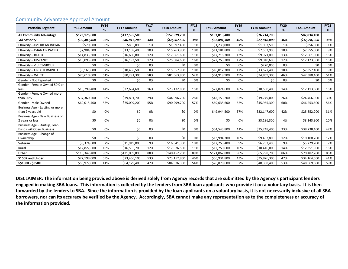| <b>Portfolio Segment</b>                            | <b>FY16 Amount</b> | <b>FY16</b><br>% | <b>FY17 Amount</b> | <b>FY17</b><br>% | <b>FY18 Amount</b> | <b>FY18</b><br>% | <b>FY19 Amount</b> | <b>FY19</b><br>% | <b>FY20 Amount</b> | <b>FY20</b><br>% | <b>FY21 Amount</b> | <b>FY21</b><br>% |
|-----------------------------------------------------|--------------------|------------------|--------------------|------------------|--------------------|------------------|--------------------|------------------|--------------------|------------------|--------------------|------------------|
| <b>All Community Advantage</b>                      | \$123,175,000      |                  | \$137,595,500      |                  | \$157,529,200      |                  | \$133,813,400      |                  | \$76,214,700       |                  | \$82,834,100       |                  |
| <b>All Minority</b>                                 | \$39,403,400       | 32%              | \$46,817,700       | 34%              | \$60,607,500       | 38%              | \$52,881,300       | 40%              | \$27,818,000       | 36%              | \$32,596,300       | 39%              |
| Ethnicity - AMERICAN INDIAN                         | \$570,000          | 0%               | \$835,000          | 1%               | \$1,597,400        | 1%               | \$1,230,000        | 1%               | \$1,003,500        | 1%               | \$856,500          | 1%               |
| Ethnicity - ASIAN OR PACIFIC                        | \$7,904,300        | 6%               | \$13,138,400       | 10%              | \$15,763,900       | 10%              | \$11,181,800       | 8%               | \$7,532,900        | 10%              | \$7,555,500        | 9%               |
| Ethnicity - BLACK                                   | \$14,833,300       | 12%              | \$16,650,800       | 12%              | \$17,561,600       | 11%              | \$17,716,300       | 13%              | \$9,971,000        | 13%              | \$12,061,000       | 15%              |
| Ethnicity - HISPANIC                                | \$16,095,800       | 13%              | \$16,193,500       | 12%              | \$25,684,600       | 16%              | \$22,753,200       | 17%              | \$9,040,600        | 12%              | \$12,123,300       | 15%              |
| Ethnicity - MULTI-GROUP                             | \$0                | 0%               | \$0                | 0%               | \$0                | 0%               | \$0                | 0%               | \$270,000          | 0%               | \$0                | 0%               |
| Ethnicity - UNDETERMINED                            | \$8,161,000        | 7%               | \$10,486,500       | 8%               | \$15,357,900       | 10%              | \$16,012,200       | 12%              | \$13,527,400       | 18%              | \$7,857,400        | 9%               |
| Ethnicity - WHITE                                   | \$75,610,600       | 61%              | \$80,291,300       | 58%              | \$81,563,800       | 52%              | \$64,919,900       | 49%              | \$34,869,300       | 46%              | \$42,380,400       | 51%              |
| Gender - Not Reported                               | \$0                | 0%               | \$0                | 0%               | \$0                | 0%               | \$0                | 0%               | \$0                | 0%               | \$0                | $0\%$            |
| Gender - Female Owned 50% or<br>less                | \$16,799,400       | 14%              | \$22,694,600       | 16%              | \$23,132,800       | 15%              | \$22,024,600       | 16%              | \$10,500,400       | 14%              | \$12,113,600       | 15%              |
| Gender - Female Owned more                          |                    |                  |                    |                  |                    |                  |                    |                  |                    |                  |                    |                  |
| than 50%                                            | \$37,360,200       | 30%              | \$39,891,700       | 29%              | \$44,096,700       | 28%              | \$42,153,200       | 32%              | \$19,749,000       | 26%              | \$24,466,900       | 30%              |
| Gender - Male Owned                                 | \$69,015,400       | 56%              | \$75,009,200       | 55%              | \$90,299,700       | 57%              | \$69,635,600       | 52%              | \$45,965,300       | 60%              | \$46,253,600       | 56%              |
| Business Age - Existing or more<br>than 2 years old | \$0                | 0%               | \$0                | 0%               | \$0                | 0%               | \$49,944,500       | 37%              | \$32,147,600       | 42%              | \$25,852,200       | 31%              |
| Business Age - New Business or<br>2 years or less   | \$0                | 0%               | \$0                | 0%               | \$0                | 0%               | \$0                | 0%               | \$3,196,300        | 4%               | \$8,143,300        | 10%              |
| Business Age - Startup, Loan                        |                    |                  |                    |                  |                    |                  |                    |                  |                    |                  |                    |                  |
| Funds will Open Business                            | \$0                | 0%               | \$0                | 0%               | \$0                | 0%               | \$54,543,800       | 41%              | \$25,248,400       | 33%              | \$38,738,400       | 47%              |
| Business Age - Change of                            |                    |                  |                    |                  |                    |                  |                    |                  |                    |                  |                    |                  |
| Ownership                                           | \$0                | 0%               | \$0                | 0%               | \$0                | 0%               | \$13,994,200       | 10%              | \$9,402,800        | 12%              | \$10,100,200       | 12%              |
| Veteran                                             | \$8,374,600        | 7%               | \$11,919,000       | 9%               | \$16,341,300       | 10%              | \$12,253,400       | 9%               | \$6,762,400        | 9%               | \$5,729,700        | 7%               |
| <b>Rural</b>                                        | \$12,827,600       | 10%              | \$16,535,700       | 12%              | \$17,076,500       | 11%              | \$12,750,600       | 10%              | \$10,416,000       | 14%              | \$12,351,900       | 15%              |
| Urban                                               | \$110,347,400      | 90%              | \$121,059,800      | 88%              | \$140,452,700      | 89%              | \$121,062,800      | 90%              | \$65,798,700       | 86%              | \$70,482,200       | 85%              |
| \$150K and Under                                    | \$72,198,000       | 59%              | \$73,466,100       | 53%              | \$73,152,900       | 46%              | \$56,934,800       | 43%              | \$35,826,300       | 47%              | \$34,164,500       | 41%              |
| >\$150K - \$350K                                    | \$50,977,000       | 41%              | \$64,129,400       | 47%              | \$84,376,300       | 54%              | \$76,878,600       | 57%              | \$40,388,400       | 53%              | \$48,669,600       | 59%              |

#### Community Advantage Approval Amount